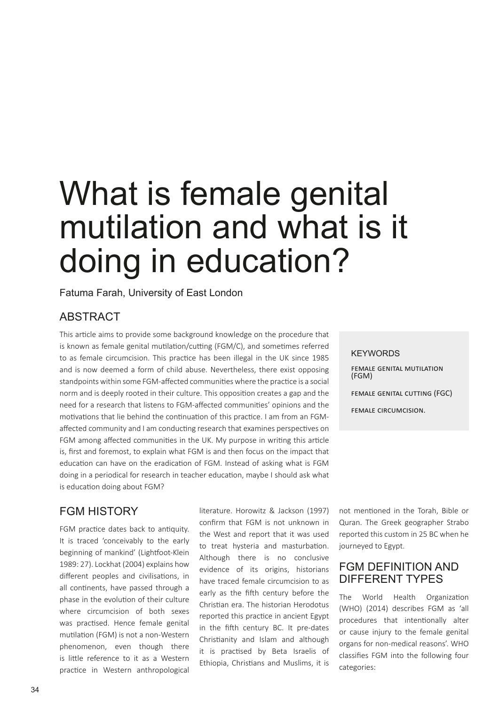# What is female genital mutilation and what is it doing in education?

Fatuma Farah, University of East London

#### **ABSTRACT**

This article aims to provide some background knowledge on the procedure that is known as female genital mutilation/cutting (FGM/C), and sometimes referred to as female circumcision. This practice has been illegal in the UK since 1985 and is now deemed a form of child abuse. Nevertheless, there exist opposing standpoints within some FGM-affected communities where the practice is a social norm and is deeply rooted in their culture. This opposition creates a gap and the need for a research that listens to FGM-affected communities' opinions and the motivations that lie behind the continuation of this practice. I am from an FGMaffected community and I am conducting research that examines perspectives on FGM among affected communities in the UK. My purpose in writing this article is, first and foremost, to explain what FGM is and then focus on the impact that education can have on the eradication of FGM. Instead of asking what is FGM doing in a periodical for research in teacher education, maybe I should ask what is education doing about FGM?

#### FGM HISTORY

FGM practice dates back to antiquity. It is traced 'conceivably to the early beginning of mankind' (Lightfoot-Klein 1989: 27). Lockhat (2004) explains how different peoples and civilisations, in all continents, have passed through a phase in the evolution of their culture where circumcision of both sexes was practised. Hence female genital mutilation (FGM) is not a non-Western phenomenon, even though there is little reference to it as a Western practice in Western anthropological

literature. Horowitz & Jackson (1997) confirm that FGM is not unknown in the West and report that it was used to treat hysteria and masturbation. Although there is no conclusive evidence of its origins, historians have traced female circumcision to as early as the fifth century before the Christian era. The historian Herodotus reported this practice in ancient Egypt in the fifth century BC. It pre-dates Christianity and Islam and although it is practised by Beta Israelis of Ethiopia, Christians and Muslims, it is

**KEYWORDS** female genital mutilation (FGM) female genital cutting (FGC) female circumcision.

not mentioned in the Torah, Bible or Quran. The Greek geographer Strabo reported this custom in 25 BC when he journeyed to Egypt.

#### FGM DEFINITION AND DIFFERENT TYPES

The World Health Organization (WHO) (2014) describes FGM as 'all procedures that intentionally alter or cause injury to the female genital organs for non-medical reasons'. WHO classifies FGM into the following four categories: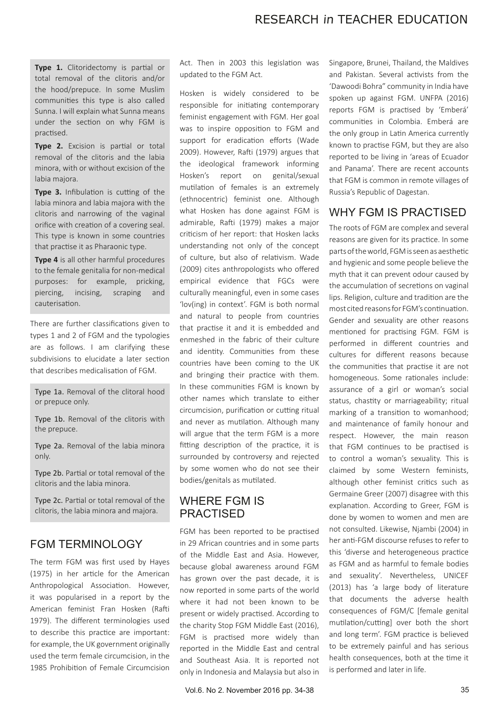# RESEARCH in TEACHER EDUCATION

**Type 1.** Clitoridectomy is partial or total removal of the clitoris and/or the hood/prepuce. In some Muslim communities this type is also called Sunna. I will explain what Sunna means under the section on why FGM is practised.

**Type 2.** Excision is partial or total removal of the clitoris and the labia minora, with or without excision of the labia majora.

**Type 3.** Infibulation is cutting of the labia minora and labia majora with the clitoris and narrowing of the vaginal orifice with creation of a covering seal. This type is known in some countries that practise it as Pharaonic type.

**Type 4** is all other harmful procedures to the female genitalia for non-medical purposes: for example, pricking, piercing, incising, scraping and cauterisation.

There are further classifications given to types 1 and 2 of FGM and the typologies are as follows. I am clarifying these subdivisions to elucidate a later section that describes medicalisation of FGM.

Type 1a. Removal of the clitoral hood or prepuce only.

Type 1b. Removal of the clitoris with the prepuce.

Type 2a. Removal of the labia minora only.

Type 2b. Partial or total removal of the clitoris and the labia minora.

Type 2c. Partial or total removal of the clitoris, the labia minora and majora.

## FGM TERMINOLOGY

The term FGM was first used by Hayes (1975) in her article for the American Anthropological Association. However, it was popularised in a report by the American feminist Fran Hosken (Rafti 1979). The different terminologies used to describe this practice are important: for example, the UK government originally used the term female circumcision, in the 1985 Prohibition of Female Circumcision

Act. Then in 2003 this legislation was updated to the FGM Act.

Hosken is widely considered to be responsible for initiating contemporary feminist engagement with FGM. Her goal was to inspire opposition to FGM and support for eradication efforts (Wade 2009). However, Rafti (1979) argues that the ideological framework informing Hosken's report on genital/sexual mutilation of females is an extremely (ethnocentric) feminist one. Although what Hosken has done against FGM is admirable, Rafti (1979) makes a major criticism of her report: that Hosken lacks understanding not only of the concept of culture, but also of relativism. Wade (2009) cites anthropologists who offered empirical evidence that FGCs were culturally meaningful, even in some cases 'lov(ing) in context'. FGM is both normal and natural to people from countries that practise it and it is embedded and enmeshed in the fabric of their culture and identity. Communities from these countries have been coming to the UK and bringing their practice with them. In these communities FGM is known by other names which translate to either circumcision, purification or cutting ritual and never as mutilation. Although many will argue that the term FGM is a more fitting description of the practice, it is surrounded by controversy and rejected by some women who do not see their bodies/genitals as mutilated.

#### WHERE FGM IS PRACTISED

FGM has been reported to be practised in 29 African countries and in some parts of the Middle East and Asia. However, because global awareness around FGM has grown over the past decade, it is now reported in some parts of the world where it had not been known to be present or widely practised. According to the charity Stop FGM Middle East (2016), FGM is practised more widely than reported in the Middle East and central and Southeast Asia. It is reported not only in Indonesia and Malaysia but also in Singapore, Brunei, Thailand, the Maldives and Pakistan. Several activists from the 'Dawoodi Bohra" community in India have spoken up against FGM. UNFPA (2016) reports FGM is practised by 'Emberá' communities in Colombia. Emberá are the only group in Latin America currently known to practise FGM, but they are also reported to be living in 'areas of Ecuador and Panama'. There are recent accounts that FGM is common in remote villages of Russia's Republic of Dagestan.

## WHY FGM IS PRACTISED

The roots of FGM are complex and several reasons are given for its practice. In some parts of the world, FGM is seen as aesthetic and hygienic and some people believe the myth that it can prevent odour caused by the accumulation of secretions on vaginal lips. Religion, culture and tradition are the most cited reasons for FGM's continuation. Gender and sexuality are other reasons mentioned for practising FGM. FGM is performed in different countries and cultures for different reasons because the communities that practise it are not homogeneous. Some rationales include: assurance of a girl or woman's social status, chastity or marriageability; ritual marking of a transition to womanhood; and maintenance of family honour and respect. However, the main reason that FGM continues to be practised is to control a woman's sexuality. This is claimed by some Western feminists, although other feminist critics such as Germaine Greer (2007) disagree with this explanation. According to Greer, FGM is done by women to women and men are not consulted. Likewise, Njambi (2004) in her anti-FGM discourse refuses to refer to this 'diverse and heterogeneous practice as FGM and as harmful to female bodies and sexuality'. Nevertheless, UNICEF (2013) has 'a large body of literature that documents the adverse health consequences of FGM/C [female genital mutilation/cutting] over both the short and long term'. FGM practice is believed to be extremely painful and has serious health consequences, both at the time it is performed and later in life.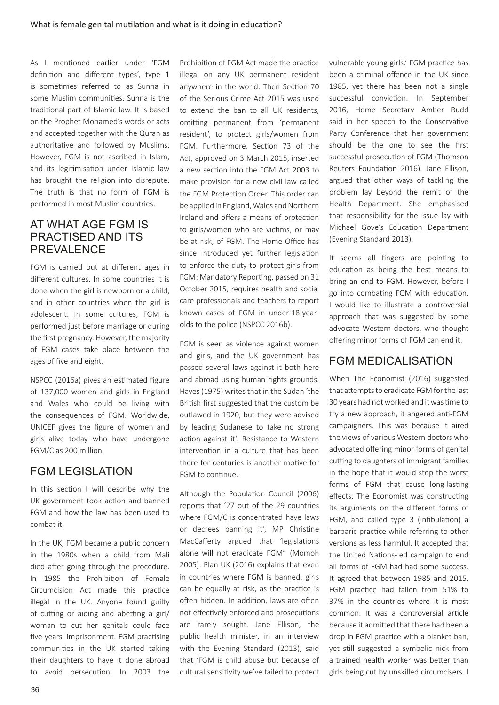As I mentioned earlier under 'FGM definition and different types', type 1 is sometimes referred to as Sunna in some Muslim communities. Sunna is the traditional part of Islamic law. It is based on the Prophet Mohamed's words or acts and accepted together with the Quran as authoritative and followed by Muslims. However, FGM is not ascribed in Islam, and its legitimisation under Islamic law has brought the religion into disrepute. The truth is that no form of FGM is performed in most Muslim countries.

## AT WHAT AGE FGM IS PRACTISED AND ITS PREVALENCE

FGM is carried out at different ages in different cultures. In some countries it is done when the girl is newborn or a child, and in other countries when the girl is adolescent. In some cultures, FGM is performed just before marriage or during the first pregnancy. However, the majority of FGM cases take place between the ages of five and eight.

NSPCC (2016a) gives an estimated figure of 137,000 women and girls in England and Wales who could be living with the consequences of FGM. Worldwide, UNICEF gives the figure of women and girls alive today who have undergone FGM/C as 200 million.

## FGM LEGISLATION

In this section I will describe why the UK government took action and banned FGM and how the law has been used to combat it.

In the UK, FGM became a public concern in the 1980s when a child from Mali died after going through the procedure. In 1985 the Prohibition of Female Circumcision Act made this practice illegal in the UK. Anyone found guilty of cutting or aiding and abetting a girl/ woman to cut her genitals could face five years' imprisonment. FGM-practising communities in the UK started taking their daughters to have it done abroad to avoid persecution. In 2003 the Prohibition of FGM Act made the practice illegal on any UK permanent resident anywhere in the world. Then Section 70 of the Serious Crime Act 2015 was used to extend the ban to all UK residents, omitting permanent from 'permanent resident', to protect girls/women from FGM. Furthermore, Section 73 of the Act, approved on 3 March 2015, inserted a new section into the FGM Act 2003 to make provision for a new civil law called the FGM Protection Order. This order can be applied in England, Wales and Northern Ireland and offers a means of protection to girls/women who are victims, or may be at risk, of FGM. The Home Office has since introduced yet further legislation to enforce the duty to protect girls from FGM: Mandatory Reporting, passed on 31 October 2015, requires health and social care professionals and teachers to report known cases of FGM in under-18-yearolds to the police (NSPCC 2016b).

FGM is seen as violence against women and girls, and the UK government has passed several laws against it both here and abroad using human rights grounds. Hayes (1975) writes that in the Sudan 'the British first suggested that the custom be outlawed in 1920, but they were advised by leading Sudanese to take no strong action against it'. Resistance to Western intervention in a culture that has been there for centuries is another motive for FGM to continue.

Although the Population Council (2006) reports that '27 out of the 29 countries where FGM/C is concentrated have laws or decrees banning it', MP Christine MacCafferty argued that 'legislations alone will not eradicate FGM" (Momoh 2005). Plan UK (2016) explains that even in countries where FGM is banned, girls can be equally at risk, as the practice is often hidden. In addition, laws are often not effectively enforced and prosecutions are rarely sought. Jane Ellison, the public health minister, in an interview with the Evening Standard (2013), said that 'FGM is child abuse but because of cultural sensitivity we've failed to protect

vulnerable young girls.' FGM practice has been a criminal offence in the UK since 1985, yet there has been not a single successful conviction. In September 2016, Home Secretary Amber Rudd said in her speech to the Conservative Party Conference that her government should be the one to see the first successful prosecution of FGM (Thomson Reuters Foundation 2016). Jane Ellison, argued that other ways of tackling the problem lay beyond the remit of the Health Department. She emphasised that responsibility for the issue lay with Michael Gove's Education Department (Evening Standard 2013).

It seems all fingers are pointing to education as being the best means to bring an end to FGM. However, before I go into combating FGM with education, I would like to illustrate a controversial approach that was suggested by some advocate Western doctors, who thought offering minor forms of FGM can end it.

#### FGM MEDICALISATION

When The Economist (2016) suggested that attempts to eradicate FGM for the last 30 years had not worked and it was time to try a new approach, it angered anti-FGM campaigners. This was because it aired the views of various Western doctors who advocated offering minor forms of genital cutting to daughters of immigrant families in the hope that it would stop the worst forms of FGM that cause long-lasting effects. The Economist was constructing its arguments on the different forms of FGM, and called type 3 (infibulation) a barbaric practice while referring to other versions as less harmful. It accepted that the United Nations-led campaign to end all forms of FGM had had some success. It agreed that between 1985 and 2015, FGM practice had fallen from 51% to 37% in the countries where it is most common. It was a controversial article because it admitted that there had been a drop in FGM practice with a blanket ban, yet still suggested a symbolic nick from a trained health worker was better than girls being cut by unskilled circumcisers. I